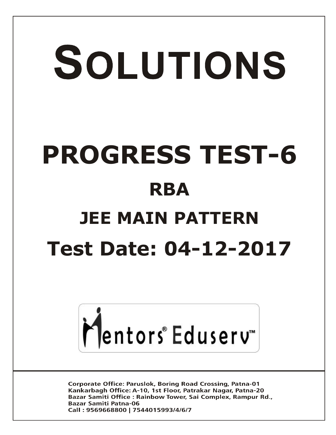# SOLUTIONS **PROGRESS TEST-6 RBA JEE MAIN PATTERN Test Date: 04-12-2017**



**Corporate Office: Paruslok, Boring Road Crossing, Patna-01** Kankarbagh Office: A-10, 1st Floor, Patrakar Nagar, Patna-20 Bazar Samiti Office: Rainbow Tower, Sai Complex, Rampur Rd., **Bazar Samiti Patna-06** Call: 9569668800 | 7544015993/4/6/7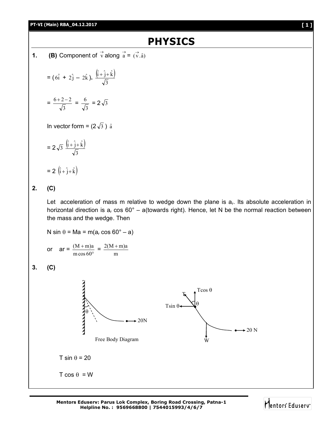## **PT-VI (Main) RBA\_04.12.2017 [ 1 ]**

## **PHYSICS**

**1. (B)** Component of  $\vec{v}$  along  $\vec{a} = (\vec{v} \cdot \hat{a})$ 

$$
= (6\hat{i} + 2\hat{j} - 2\hat{k}). \frac{(\hat{i} + \hat{j} + \hat{k})}{\sqrt{3}}
$$

$$
=\frac{6+2-2}{\sqrt{3}}=\frac{6}{\sqrt{3}}=2\sqrt{3}
$$

In vector form =  $(2\sqrt{3})$   $\hat{a}$ 

$$
= 2\sqrt{3} \frac{\left(\hat{i} + \hat{j} + \hat{k}\right)}{\sqrt{3}}
$$

$$
= 2\ \left(\hat{i} + \hat{j} + \hat{k}\right)
$$

**2. (C)**

Let acceleration of mass m relative to wedge down the plane is  $a<sub>r</sub>$ . Its absolute acceleration in horizontal direction is  $a<sub>r</sub> \cos 60^\circ - a$  (towards right). Hence, let N be the normal reaction between the mass and the wedge. Then

N sin  $\theta$  = Ma = m(a<sub>r</sub> cos 60° – a)  $\frac{(M+m)a}{m\cos 60^{\circ}} = \frac{2(M+m)}{m}$  $^{+}$  $2(M + m)a$ or  $ar = \frac{(M + H)d}{m \cos 60^\circ}$ mcos 60 **3. (C) THE PERSONS AND ALLES** Tcos  $\theta$ T  $\theta$  $T\sin\theta$  $\theta$ 20N  $\div 20$  N Free Body Diagram W  $T \sin \theta = 20$  $T \cos \theta = W$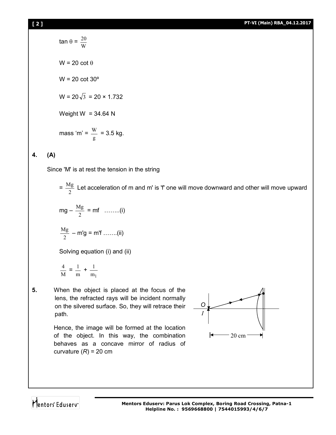$$
\tan \theta = \frac{20}{W}
$$
  
W = 20 cot  $\theta$   
W = 20 cot 30°  
W = 20 $\sqrt{3}$  = 20 × 1.732  
Weight W = 34.64 N  
mass 'm' =  $\frac{W}{g}$  = 3.5 kg.

## **4. (A)**

Since 'M' is at rest the tension in the string

 $=\frac{Mg}{2}$  Let acceleration of m and m' is 'f' one will move downward and other will move upward

$$
mg - \frac{Mg}{2} = mf \quad ......(i)
$$

$$
\frac{Mg}{2} - m'g = m'f \dots (ii)
$$

Solving equation (i) and (ii)

$$
\frac{4}{M} = \frac{1}{m} + \frac{1}{m_1}
$$

**5.** When the object is placed at the focus of the lens, the refracted rays will be incident normally on the silvered surface. So, they will retrace their path.

> Hence, the image will be formed at the location of the object. In this way, the combination behaves as a concave mirror of radius of curvature  $(R) = 20$  cm



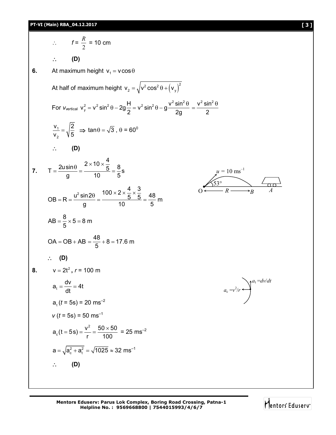2. 
$$
f = \frac{R}{2} = 10 \text{ cm}
$$
  
\n∴ **(D)**  
\n6. At maximum height  $v_1 = v \cos \theta$   
\nAt half of maximum height  $v_2 = \sqrt{v^2 \cos^2 \theta + (v_y)^2}$   
\nFor  $v_{\text{vertical}} = v_y^2 = v^2 \sin^2 \theta - 2g\frac{H}{2} = v^2 \sin^2 \theta - g\frac{v^2 \sin^2 \theta}{2g} = \frac{v^2 \sin^2 \theta}{2}$   
\n $\frac{v_1}{v_2} = \sqrt{\frac{2}{5}} \Rightarrow \tan \theta = \sqrt{3}, \theta = 60^\circ$   
\n∴ **(D)**  
\n7.  $T = \frac{2u \sin \theta}{g} = \frac{2 \times 10 \times \frac{4}{5}}{10} = \frac{8}{5} \text{ s}$   
\n $OB = R = \frac{u^2 \sin 2\theta}{g} = \frac{100 \times 2 \times \frac{4}{5} \times \frac{3}{5}}{10} = \frac{48}{5} \text{ m}$   
\n $AB = \frac{8}{5} \times 5 = 8 \text{ m}$   
\n $OA = OB + AB = \frac{48}{5} + 8 = 17.6 \text{ m}$   
\n∴ **(D)**  
\n8.  $v = 2t^2, r = 100 \text{ m}$   
\n $a_1 = \frac{dv}{dt} = 4t$   
\n $a_1(t = 5s) = 20 \text{ ms}^{-2}$   
\n $v(t = 5s) = 50 \text{ ms}^{-1}$   
\n $a_2(t = 5s) = \frac{v^2}{r} = \frac{50 \times 50}{100} = 25 \text{ ms}^{-2}$   
\n $a = \sqrt{a_c^2 + a_i^2} = \sqrt{1025} \approx 32 \text{ ms}^{-1}$   
\n∴ **(D)**

**Mentors Eduserv: Parus Lok Complex, Boring Road Crossing, Patna-1 Helpline No. : 9569668800 | 7544015993/4/6/7**

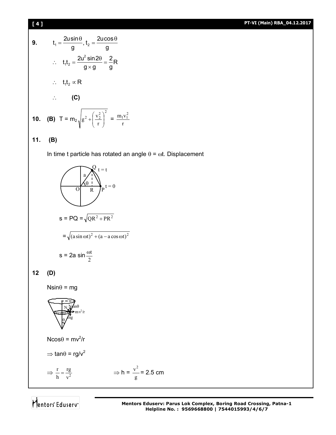## **[ 4 ] PT-VI (Main) RBA\_04.12.2017**

9. 
$$
t_1 = \frac{2u\sin\theta}{g}, t_2 = \frac{2u\cos\theta}{g}
$$

$$
\therefore t_1t_2 = \frac{2u^2\sin 2\theta}{g \times g} = \frac{2}{g}R
$$

$$
\therefore t_1t_2 \propto R
$$

$$
\therefore \textbf{(C)}
$$
10. (B) 
$$
T = m_2 \sqrt{g^2 + \left(\frac{v_2^2}{r}\right)^2} = \frac{m_1v_1^2}{r}
$$

**11. (B)**

In time t particle has rotated an angle  $\theta = \omega t$ . Displacement

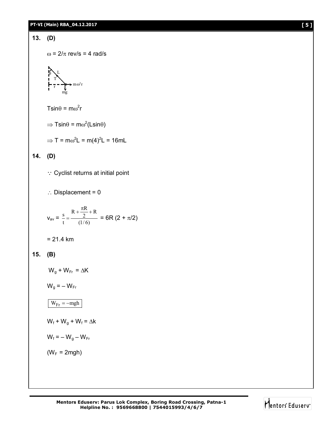**13. (D)**

$$
\omega = 2/\pi
$$
 rev/s = 4 rad/s

$$
\sum_{\substack{p\\r}}L
$$
\n
$$
I - \sum_{\substack{r\\r\\r}}L
$$
\n
$$
\longrightarrow m\omega^2r
$$

 $T\sin\theta = m\omega^2r$ 

- $\Rightarrow$  Tsin $\theta$  = m $\omega^2$ (Lsin $\theta$ )
- $\Rightarrow$  T = m $\omega^2$ L = m(4)<sup>2</sup>L = 16mL

## **14. (D)**

- Cyclist returns at initial point
- $\therefore$  Displacement = 0

$$
v_{av} = \frac{s}{t} = \frac{R + \frac{\pi R}{2} + R}{(1/6)} = 6R (2 + \pi/2)
$$
  
= 21.4 km

## **15. (B)**

 $W_q + W_{Fr} = \Delta K$ 

- $W_g = -W_{Fr}$
- $W_{\text{Fr}} = -mgh$
- $W_f + W_g + W_f = \Delta k$
- $W_f = -W_q W_{Fr}$
- $(W_F = 2mgh)$

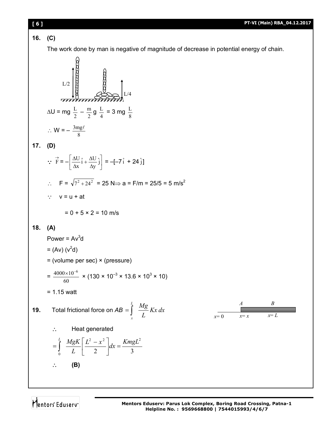16. (C)  
\n16. (C)  
\nThe work done by man is negative of magnitude of decrease in potential energy of chain.  
\n17. (D)  
\n18. (A)  
\n19. Total frictional force on AB = 
$$
\frac{1}{2}
$$
  $\frac{Mg}{a}$   $\frac{N}{a}$   
\n10. (a)  
\n $\therefore W = -\frac{3mg}{g}$   
\n11. (b)  
\n $\therefore F = \sqrt{r^2 + 24^2} = 25 \text{ N} \Rightarrow a = F/m = 25/5 = 5 \text{ m/s}^2$   
\n $\therefore v = u + at$   
\n $= 0 + 5 \times 2 = 10 \text{ m/s}$   
\n18. (A)  
\nPower = Av<sup>3</sup>d  
\n $= (Ay)(v^2d)$   
\n $= (x^2 + 130 \times 10^{-3} \times 13.6 \times 10^3 \times 10)$   
\n $= 1.15 \text{ Watt}$   
\n19. Total frictional force on AB =  $\int_{c}^{c} \frac{Mg}{L} Kx dx$   
\n $= \int_{c}^{d} \frac{MgK}{L} \left[ \frac{L^2 - x^2}{2} \right] dx = \frac{KmgL^2}{3}$   
\n $\therefore$  (B)

Mentors Eduserv<sup>-</sup>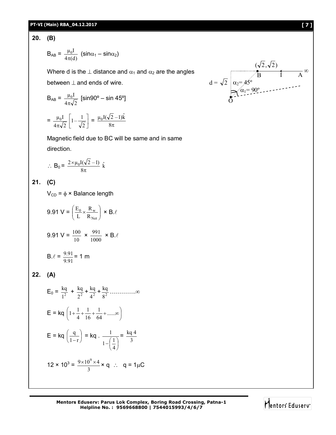## **PT-VI (Main) RBA\_04.12.2017 [ 7 ]**

 $4\pi\sqrt{2}$ 

## **20. (B)**

$$
B_{AB} = \frac{\mu_0 I}{4\pi(d)} (\sin \alpha_1 - \sin \alpha_2)
$$

Where d is the  $\perp$  distance and  $\alpha_1$  and  $\alpha_2$  are the angles

between  $\perp$  and ends of wire.

$$
B_{AB} = \frac{\mu_0 I}{4\pi\sqrt{2}} \text{ [sin90° - sin 45°]}
$$

$$
= \frac{\mu_0 I}{4\pi\sqrt{2}} \left[ 1 - \frac{1}{\sqrt{2}} \right] = \frac{\mu_0 I(\sqrt{2} - 1)\hat{k}}{8\pi}
$$

2

Magnetic field due to BC will be same and in same direction.

$$
\therefore B_0 = \frac{2 \times \mu_0 I(\sqrt{2} - 1)}{8\pi} \hat{k}
$$

**21. (C)**

 $V_{CD} = \phi \times$  Balance length

$$
9.91 \text{ V} = \left(\frac{E_0}{L} \times \frac{R_w}{R_{Net}}\right) \times B.\ell
$$

$$
9.91 \text{ V} = \frac{100}{10} \times \frac{991}{1000} \times B.\ell
$$

$$
B.\ell = \frac{9.91}{9.91} = 1 \text{ m}
$$

**22. (A)**

$$
E_0 = \frac{kq}{1^2} + \frac{kq}{2^2} + \frac{kq}{4^2} + \frac{kq}{8^2} + \dots \infty
$$
  
\n
$$
E = kq \left( 1 + \frac{1}{4} + \frac{1}{16} + \frac{1}{64} + \dots \infty \right)
$$
  
\n
$$
E = kq \left( \frac{q}{1-r} \right) = kq \cdot \frac{1}{1-\left( \frac{1}{4} \right)} = \frac{kq}{3}
$$
  
\n
$$
12 \times 10^3 = \frac{9 \times 10^9 \times 4}{3} \times q \therefore q = 1 \mu C
$$

**Mentors Eduserv: Parus Lok Complex, Boring Road Crossing, Patna-1 Helpline No. : 9569668800 | 7544015993/4/6/7**

$$
d = \sqrt{2} \begin{array}{ccc} & (\sqrt{2}, \sqrt{2}) \\ & \sqrt{B} & I & A \\ \alpha_2 = 45^\circ & & \\ \alpha_1 = 90^\circ & & \\ 0 & & \end{array}
$$

Mentors Eduserv<sup>-</sup>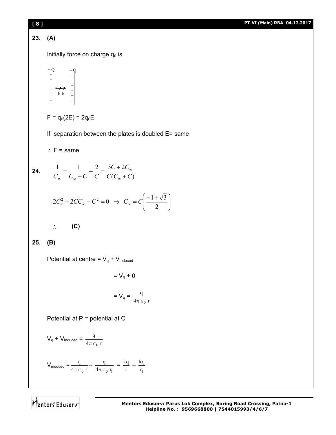

Mentors<sup>e</sup> Eduserv<sup>®</sup>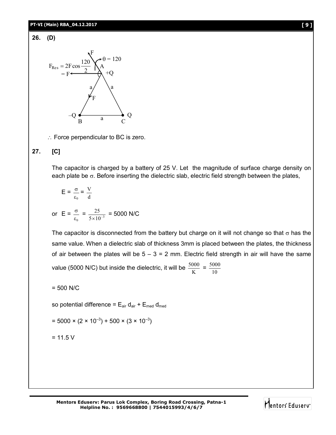## **PT-VI (Main) RBA\_04.12.2017 [ 9 ]**

## **26. (D)**



 $\therefore$  Force perpendicular to BC is zero.

## **27. [C]**

The capacitor is charged by a battery of 25 V. Let the magnitude of surface charge density on each plate be  $\sigma$ . Before inserting the dielectric slab, electric field strength between the plates,

$$
E = \frac{\sigma}{\varepsilon_0} = \frac{V}{d}
$$

or 
$$
E = \frac{\sigma}{\epsilon_0} = \frac{25}{5 \times 10^{-3}} = 5000 \text{ N/C}
$$

The capacitor is disconnected from the battery but charge on it will not change so that  $\sigma$  has the same value. When a dielectric slab of thickness 3mm is placed between the plates, the thickness of air between the plates will be  $5 - 3 = 2$  mm. Electric field strength in air will have the same value (5000 N/C) but inside the dielectric, it will be  $\frac{500}{K}$  $\frac{5000}{\text{K}} = \frac{500}{10}$ 5000

$$
= 500 N/C
$$

so potential difference =  $E_{air}$  d<sub>air</sub> +  $E_{med}$  d<sub>med</sub>

$$
= 5000 \times (2 \times 10^{-3}) + 500 \times (3 \times 10^{-3})
$$

$$
= 11.5 V
$$

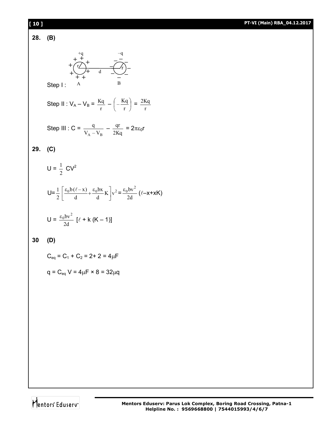

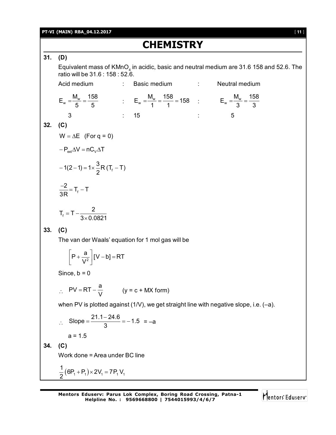## **PT-VI (MAIN) RBA\_04.12.2017** [ **11** ]

# **CHEMISTRY**

## **31. (D)**

Equivalent mass of  $\mathsf{KMnO}_4$  in acidic, basic and neutral medium are 31.6 158 and 52.6. The ratio will be 31.6 : 158 : 52.6.

Acid medium : Basic medium : Neutral medium  $E_w = \frac{M_w}{E} = \frac{158}{E}$  $=\frac{M_w}{5}=\frac{158}{5}$   $\qquad \qquad ; \qquad E_w=\frac{M_w}{1}=\frac{158}{1}=158$  $=\frac{M_w}{1} = \frac{158}{1} = 158$  :  $E_w = \frac{M_w}{3} = \frac{158}{3}$ 3 3  $=\frac{W}{2} = -$ 3 : 15 : 5 **32. (C)**  $W = \Delta E$  (For q = 0)  $-P_{ext}\Delta V = nC_{V}\Delta T$ f  $1(2-1) = 1 \times \frac{3}{5}R(T_f - T)$ 2  $-1(2-1) = 1 \times \frac{5}{6}R(T_f$ f  $\frac{2}{2} = T_f - T$ 3R  $\frac{-2}{25}$  = T<sub>f</sub> - 1 f  $T_{\rm f} = T - \frac{2}{3.84}$  $3\times 0.0821$  $= T \times$ **33. (C)** The van der Waals' equation for 1 mol gas will be 2  $P + \frac{a}{\sqrt{2}} |V - b| = RT$ V  $\left[P + \frac{a}{V^2}\right][V - b] = F$ Since,  $b = 0$  $\therefore$  $PV = RT - \frac{a}{M}$  $= RT - \frac{Q}{V}$  (y = c + MX form) when PV is plotted against (1/V), we get straight line with negative slope, i.e. (–a).  $\therefore$  Slope =  $\frac{21.1 - 24.6}{3} = -1.5$ 3  $=\frac{21.1-24.6}{2}$  = -1.5 = -a

 $a = 1.5$ 

**34. (C)**

Work done = Area under BC line

$$
\frac{1}{2}(6P_1 + P_1) \times 2V_1 = 7P_1 V_1
$$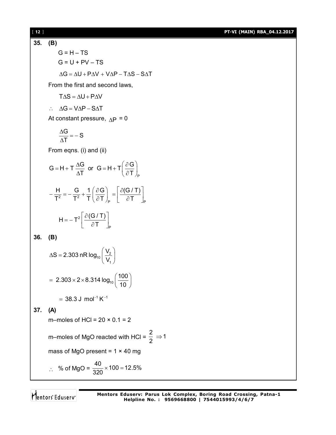### [ **12** ] **PT-VI (MAIN) RBA\_04.12.2017**

**35. (B)**  $G = H - TS$  $G = U + PV - TS$  $\Delta G = \Delta U + P \Delta V + V \Delta P - T \Delta S - S \Delta T$ From the first and second laws,  $T \Delta S = \Delta U + P \Delta V$  $\therefore \quad \Delta G = V \Delta P - S \Delta T$ At constant pressure,  $_{\Delta}$  P = 0  $\frac{G}{F} = -S$ T  $\frac{\Delta G}{\Delta T} = -$ Δ From eqns. (i) and (ii) P  $G = H + T \frac{\Delta G}{\Delta T}$  or  $G = H + T \frac{\partial G}{\partial T}$  $T$  T  $\partial T$  $= H + T \frac{\Delta G}{\Delta T}$  or  $G = H + T \left( \frac{\partial G}{\partial T} \right)_{P}$ 2  $\mathbf{T}^2$ P P  $H$  G 1 (  $\partial G$  )  $\partial (G/T)$  $T^2$  T<sup>2</sup> T  $( \partial T )$ <sub>p</sub>  $\partial T$  $-\frac{H}{T^2} = -\frac{G}{T^2} + \frac{1}{T} \left( \frac{\partial G}{\partial T} \right)_P = \left[ \frac{\partial (G/T)}{\partial T} \right]_P$ 2 P  $H = -T^2 \frac{\partial (G/T)}{\partial T}$ T  $=-T^2 \left[ \frac{\partial (G/T)}{\partial T} \right]_P$ **36. (B)**  $\frac{v_2}{v_1}$ 1  $S = 2.303 \text{ nR} \log_{10} \left( \frac{V_{\text{S}}}{V_{\text{S}}} \right)$ V  $\Delta S = 2.303 \text{ nR} \log_{10} \left( \frac{V_2}{V_1} \right)$  $2.303 \times 2 \times 8.314 \log_{10} \left( \frac{100}{100} \right)$ 10 = 2.303 × 2 × 8.314  $log_{10} \left( \frac{100}{10} \right)$  $= 38.3$  J mol<sup>-1</sup> K<sup>-1</sup> **37. (A)** m–moles of HCl =  $20 \times 0.1 = 2$ m–moles of MgO reacted with HCl =  $\frac{2}{3} \Rightarrow 1$ 2  $\Rightarrow$ mass of MgO present =  $1 \times 40$  mg ∴ % of MgO =  $\frac{40}{320}$  × 100 = 12.5% 320  $\times$  100 = 1

Mentors<sup>®</sup> Eduserv<sup>®</sup>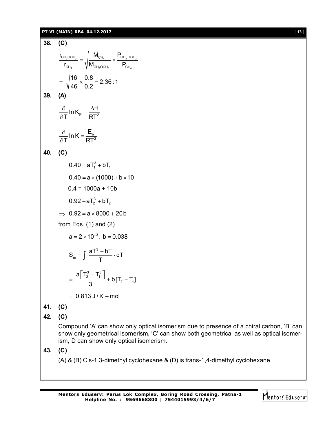## **PT-VI (MAIN) RBA\_04.12.2017** [ **13** ]

**38. (C)**  $3^{\cup \cup \cup \cup 3}$  13  $\cup$   $\cup \cup \cup$  13  $\cup \cup \cup \cup$  13 4  $\frac{1}{3}$  3  $\frac{1}{3}$   $\frac{1}{3}$   $\frac{1}{3}$  $CH_3OCH_3$   $|$   $"CH_4$   $|$   $CH_3OCH$  $CH_4$   $V''CH_3OCH_3$   $CH$  $\mathsf{r}_{\mathsf{CH}_2\mathsf{OCH}_2}$   $\parallel$  M<sub>CH</sub>,  $\parallel$  P<sub>(</sub>  $r_{\rm CH.}$   $\sqrt{M_{\rm CH. OCH.}}$   $P_{\rm C}$  $=$   $\int_{\frac{1}{4}}^{\frac{\sqrt{14}}{14}} x$  $\frac{16}{10} \times \frac{0.8}{0.8} = 2.36 :1$ 46 0.2  $=\sqrt{\frac{18}{10}} \times \frac{0.0}{0.0} = 2$ **39. (A)**  $^\mathsf{P}$   $^-$  pt $^2$ In  $K_{\rm p} = \frac{\Delta H}{\sqrt{2\pi^2}}$ T RT  $\frac{\partial}{\partial x}$  In K<sub>P</sub> =  $\frac{\Delta F}{\Delta x}$  $\partial$ a 2 In K =  $\frac{E}{E}$ T RT  $\frac{\partial}{\partial x}$  In K =  $\partial$ **40. (C)**  $0.40 = aT_1^3 + bT_1$  $0.40 = a \times (1000) + b \times 10$  $0.4 = 1000a + 10b$  $0.92 - aT_2^3 + bT_2$  $\Rightarrow$  0.92 = a  $\times$  8000 + 20b from Eqs.  $(1)$  and  $(2)$  $a = 2 \times 10^{-3}$ , b = 0.038 3  $S_m = \int \frac{aT^3 + bT}{T} \cdot dT$ T  $=\int \frac{aT^3 + bT}{T} \cdot d$  $\frac{13}{2}$  –  $T_1^3$  $2 - 1$ a| T $_2^3$  – T $_1^3$  $b[T_2-T_1]$ 3  $=\frac{a[T_2^3-T_1^3]}{2}+b[T_2 = 0.813 J/K - mol$ **41. (C) 42. (C)** Compound 'A' can show only optical isomerism due to presence of a chiral carbon, 'B' can show only geometrical isomerism, 'C' can show both geometrical as well as optical isomerism, D can show only optical isomerism. **43. (C)** (A) & (B) Cis-1,3-dimethyl cyclohexane & (D) is trans-1,4-dimethyl cyclohexane

 $\overline{\mathbf{C}}$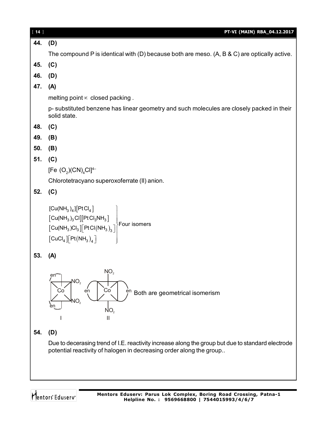| $[14]$ | PT-VI (MAIN) RBA_04.12.2017                                                                                                                                                                                                                                             |
|--------|-------------------------------------------------------------------------------------------------------------------------------------------------------------------------------------------------------------------------------------------------------------------------|
| 44.    | (D)                                                                                                                                                                                                                                                                     |
|        | The compound P is identical with (D) because both are meso. $(A, B & C)$ are optically active.                                                                                                                                                                          |
| 45.    | (C)                                                                                                                                                                                                                                                                     |
| 46.    | (D)                                                                                                                                                                                                                                                                     |
| 47.    | (A)                                                                                                                                                                                                                                                                     |
|        | melting point $\infty$ closed packing.                                                                                                                                                                                                                                  |
|        | p-substituted benzene has linear geometry and such molecules are closely packed in their<br>solid state.                                                                                                                                                                |
| 48.    | (C)                                                                                                                                                                                                                                                                     |
| 49.    | (B)                                                                                                                                                                                                                                                                     |
| 50.    | (B)                                                                                                                                                                                                                                                                     |
| 51.    | (C)                                                                                                                                                                                                                                                                     |
|        | [Fe $(O_2)(CN)_4Cl$ ] <sup>4-</sup>                                                                                                                                                                                                                                     |
|        | Chlorotetracyano superoxoferrate (II) anion.                                                                                                                                                                                                                            |
| 52.    | (C)                                                                                                                                                                                                                                                                     |
|        | $[Cu(NH_3)_4][PtCl_4]$<br>$\begin{bmatrix} \text{Cu(NH}_3)_3 \text{Cl} \end{bmatrix} [\text{PtCl}_3 \text{NH}_3] \ \begin{bmatrix} \text{Cu(NH}_3) \text{Cl}_3 \end{bmatrix} [\text{PtCl(NH}_3)_3]$<br>$\left[\text{CuCl}_4\right]\left[\text{Pt(NH}_3\right)_4\right]$ |
| 53.    | (A)                                                                                                                                                                                                                                                                     |
| 54.    | NO <sub>2</sub><br>en <sup>-</sup><br>NO <sub>2</sub><br>Co<br>Co<br>en<br>en<br>Both are geometrical isomerism<br>NO <sub>2</sub><br>NO <sub>2</sub><br>Ш<br>(D)                                                                                                       |
|        | Due to decerasing trend of I.E. reactivity increase along the group but due to standard electrode                                                                                                                                                                       |
|        | potential reactivity of halogen in decreasing order along the group                                                                                                                                                                                                     |
|        |                                                                                                                                                                                                                                                                         |
|        |                                                                                                                                                                                                                                                                         |
|        |                                                                                                                                                                                                                                                                         |

Mentors<sup>®</sup> Eduserv<sup>®</sup>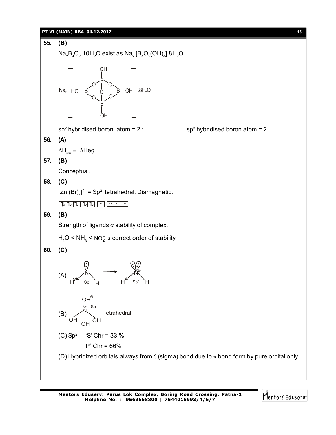## **PT-VI (MAIN) RBA\_04.12.2017** [ 15 ]



Mentors<sup>e</sup> Eduserv<sup>-</sup>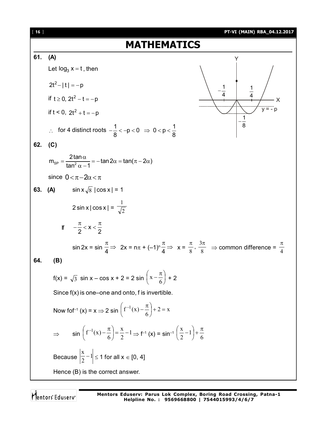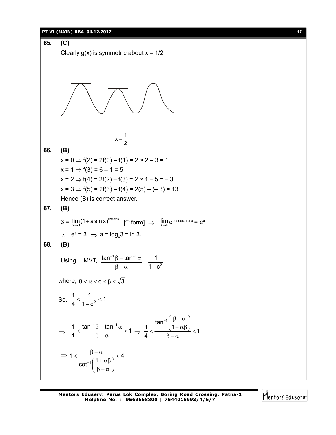## **PT-VI (MAIN) RBA\_04.12.2017** [ **17** ]



Mentors Eduserv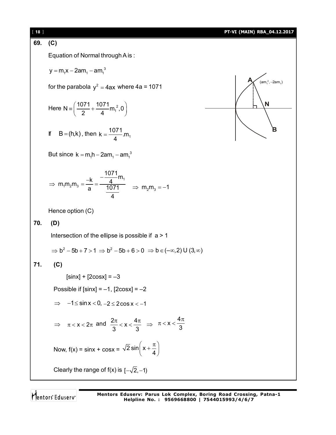## [ **18** ] **PT-VI (MAIN) RBA\_04.12.2017 69. (C)** Equation of Normal through A is :  $y = m_1 x - 2am_1 - am_1^3$ **A B N**  $(am_1^2, -2am_1)$ for the parabola  $y^2 = 4ax$  where 4a = 1071 Here N =  $\left(\frac{1071}{2} + \frac{1071}{4} m_1^2, 0\right)$ 2 4  $\equiv \left(\frac{1071}{2} + \frac{1071}{4}m_1^2, 0\right)$ If  $B = (h,k)$ , then  $k = \frac{1071}{4}$  m<sub>1</sub> 4  $=$ But since  $k = m_1 h - 2am_1 - am_1^3$ 1  $1''$   $2''$   $3$  $\frac{1071}{1}$ m  $m_1m_2m_3 = \frac{-k}{k} = \frac{-\frac{1}{4}}{10}$ a 1071 4  $\Rightarrow$  m<sub>1</sub>m<sub>2</sub>m<sub>3</sub> =  $\frac{-k}{a} = \frac{\frac{-kT_{1}}{4}m_{1}}{1071}$   $\Rightarrow$  m<sub>2</sub>m<sub>3</sub> = -1 Hence option (C) **70. (D)** Intersection of the ellipse is possible if a > 1  $\Rightarrow$  b<sup>2</sup> - 5b + 7 > 1  $\Rightarrow$  b<sup>2</sup> - 5b + 6 > 0  $\Rightarrow$  b  $\in$  (- $\infty$ , 2) U (3,  $\infty$ ) **71. (C)**  $[sinx] + [2cosx] = -3$ Possible if  $[sinx] = -1$ ,  $[2cosx] = -2$  $\Rightarrow$  -1  $\le$  sin x  $<$  0,  $-2 \le$  2cos x  $<$  -1  $\Rightarrow \pi < x < 2\pi$  and  $\frac{2\pi}{3} < x < \frac{4\pi}{3}$ 3 3  $\frac{\pi}{\lambda}$  < **x** <  $\frac{4\pi}{\lambda}$   $\Rightarrow$  $x < \frac{4}{7}$ 3  $\pi < x < \frac{4\pi}{2}$ Now,  $f(x) = \sin x + \cos x = \sqrt{2} \sin \left( x + \frac{\pi}{4} \right)$  $\left(x+\frac{\pi}{4}\right)$ Clearly the range of  $f(x)$  is  $[-\sqrt{2}, -1]$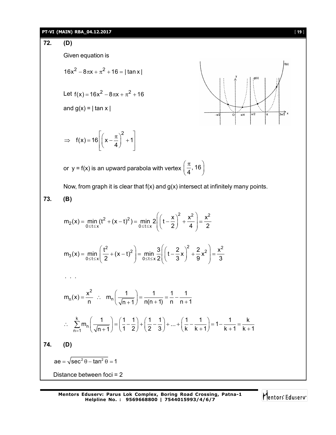## **PT-VI (MAIN) RBA\_04.12.2017** [ **19** ]

**72. (D)** Given equation is  $16x^2 - 8\pi x + \pi^2 + 16 = |\tan x|$ 

Let  $f(x) = 16x^2 - 8\pi x + \pi^2 + 16$ 

and  $g(x) = |\tan x|$ 

$$
\Rightarrow f(x) = 16\left[\left(x - \frac{\pi}{4}\right)^2 + 1\right]
$$

 $\alpha$  $\overrightarrow{3n/2}$  $\frac{1}{\pi/4}$  $\overline{\pi/2}$ 

or  $y = f(x)$  is an upward parabola with vertex  $\left(\frac{\pi}{4}, 16\right)$  $(\pi_{16})$  $\left(\frac{1}{4}, 16\right)$ 

Now, from graph it is clear that  $f(x)$  and  $g(x)$  intersect at infinitely many points.

73. **(B)**  
\n
$$
m_{2}(x) = \min_{0 \leq t \leq x} (t^{2} + (x - t)^{2}) = \min_{0 \leq t \leq x} 2\left[\left(t - \frac{x}{2}\right)^{2} + \frac{x^{2}}{4}\right] = \frac{x^{2}}{2}
$$
\n
$$
m_{3}(x) = \min_{0 \leq t \leq x} \left(\frac{t^{2}}{2} + (x - t)^{2}\right) = \min_{0 \leq t \leq x} \frac{3}{2}\left[\left(t - \frac{2}{3}x\right)^{2} + \frac{2}{9}x^{2}\right] = \frac{x^{2}}{3}
$$
\n
$$
\dots
$$
\n
$$
m_{n}(x) = \frac{x^{2}}{n} \therefore m_{n}\left(\frac{1}{\sqrt{n + 1}}\right) = \frac{1}{n(n + 1)} = \frac{1}{n} - \frac{1}{n + 1}
$$
\n
$$
\therefore \sum_{n=1}^{k} m_{n}\left(\frac{1}{\sqrt{n + 1}}\right) = \left(\frac{1}{1} - \frac{1}{2}\right) + \left(\frac{1}{2} - \frac{1}{3}\right) + \dots + \left(\frac{1}{k} - \frac{1}{k + 1}\right) = 1 - \frac{1}{k + 1} = \frac{k}{k + 1}
$$
\n74. **(D)**  
\n
$$
ae = \sqrt{sec^{2} \theta - tan^{2} \theta} = 1
$$
\nDistance between foci = 2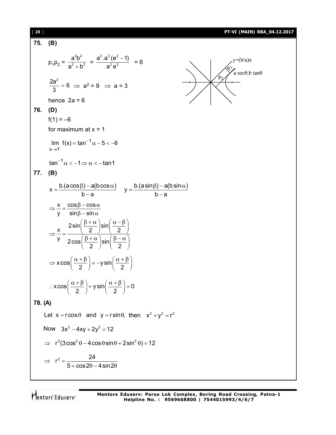| $[20]$  | PT-VI (MAIN) RBA_04.12.2017                                                                                                                                                                                                                                                                                                                                                                                                                                                                                                                                                                                                             |  |
|---------|-----------------------------------------------------------------------------------------------------------------------------------------------------------------------------------------------------------------------------------------------------------------------------------------------------------------------------------------------------------------------------------------------------------------------------------------------------------------------------------------------------------------------------------------------------------------------------------------------------------------------------------------|--|
| 75.     | (B)                                                                                                                                                                                                                                                                                                                                                                                                                                                                                                                                                                                                                                     |  |
|         | $p_1p_2 = \frac{a^2b^2}{a^2 + b^2} = \frac{a^2 \cdot a^2 (e^2 - 1)}{a^2 e^2} = 6$<br>$y=(b/a)x$<br>$a \sec\theta$ , b tan $\theta$                                                                                                                                                                                                                                                                                                                                                                                                                                                                                                      |  |
|         | $\frac{2a^2}{2} = 6 \Rightarrow a^2 = 9 \Rightarrow a = 3$                                                                                                                                                                                                                                                                                                                                                                                                                                                                                                                                                                              |  |
|         | hence $2a = 6$                                                                                                                                                                                                                                                                                                                                                                                                                                                                                                                                                                                                                          |  |
| 76.     | (D)                                                                                                                                                                                                                                                                                                                                                                                                                                                                                                                                                                                                                                     |  |
|         | $f(1) = -6$                                                                                                                                                                                                                                                                                                                                                                                                                                                                                                                                                                                                                             |  |
|         | for maximum at $x = 1$                                                                                                                                                                                                                                                                                                                                                                                                                                                                                                                                                                                                                  |  |
|         | lim $f(x) = \tan^{-1} \alpha - 5 < -6$<br>$x \rightarrow 1^-$                                                                                                                                                                                                                                                                                                                                                                                                                                                                                                                                                                           |  |
|         | $\tan^{-1} \alpha < -1 \Rightarrow \alpha < -\tan 1$                                                                                                                                                                                                                                                                                                                                                                                                                                                                                                                                                                                    |  |
| 77.     | (B)                                                                                                                                                                                                                                                                                                                                                                                                                                                                                                                                                                                                                                     |  |
|         | $x = {b.(a cos \beta) - a(b cos \alpha) \over b-a}$ $y = {b.(a sin \beta) - a(b sin \alpha) \over b-a}$<br>$\Rightarrow \frac{x}{y} = \frac{\cos \beta - \cos \alpha}{\sin \beta - \sin \alpha}$<br>$\Rightarrow \frac{x}{y} = \frac{2\sin\left(\frac{\beta+\alpha}{2}\right)\sin\left(\frac{\alpha-\beta}{2}\right)}{2\cos\left(\frac{\beta+\alpha}{2}\right)\sin\left(\frac{\beta-\alpha}{2}\right)}$<br>$\Rightarrow$ x cos $\left(\frac{\alpha+\beta}{2}\right)$ = -y sin $\left(\frac{\alpha+\beta}{2}\right)$<br>$\therefore x \cos \left( \frac{\alpha + \beta}{2} \right) + y \sin \left( \frac{\alpha + \beta}{2} \right) = 0$ |  |
| 78. (A) |                                                                                                                                                                                                                                                                                                                                                                                                                                                                                                                                                                                                                                         |  |
|         | Let $x = r \cos \theta$ and $y = r \sin \theta$ , then $x^2 + y^2 = r^2$                                                                                                                                                                                                                                                                                                                                                                                                                                                                                                                                                                |  |
|         | Now $3x^2 - 4xy + 2y^2 = 12$                                                                                                                                                                                                                                                                                                                                                                                                                                                                                                                                                                                                            |  |
|         | $\Rightarrow$ $r^2(3\cos^2\theta - 4\cos\theta\sin\theta + 2\sin^2\theta) = 12$                                                                                                                                                                                                                                                                                                                                                                                                                                                                                                                                                         |  |
|         | $\Rightarrow r^2 = \frac{24}{5 + \cos 2\theta - 4\sin 2\theta}$                                                                                                                                                                                                                                                                                                                                                                                                                                                                                                                                                                         |  |

Mentors<sup>e</sup> Eduserv<sup>-</sup>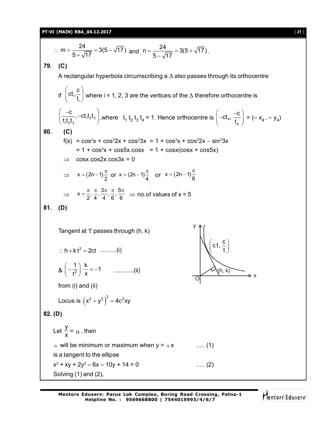**PT-VI (MAIN) RBA\_04.12.2017** [ **21** ]

$$
\therefore m = \frac{24}{5 + \sqrt{17}} = 3(5 - \sqrt{17}) \text{ and } n = \frac{24}{5 - \sqrt{17}} = 3(5 + \sqrt{17}).
$$
\n79. (C)  
\nA rectangular hyperbola circumscribing a  $\triangle$  also passes through its orthocentre  
\nif  $(ct, \frac{c}{t_1})$  where  $i = 1, 2, 3$  are the vertices of the  $\triangle$  therefore orthocentre is  
\n $\left(\frac{-c}{t_1 t_2 t_3}, -ct_1 t_2 t_3\right)$ , where  $t_1 t_2 t_3 t_4 = 1$ . Hence orthocentre is  $\left(-ct_4, \frac{-c}{t_4}\right) = (-x_4, -y_4)$   
\n80. (C)  
\n $f(x) = \cos^2 x + \cos^2 2x + \cos^2 3x = 1 + \cos^2 x + \cos^2 2x - \sin^2 3x$   
\n $= 1 + \cos^2 x + \cos 5x \cos x = 1 + \cos x(\cos x + \cos 5x)$   
\n $\Rightarrow \cos x \cdot \cos 2x \cdot \cos 3x = 0$   
\n $\Rightarrow x = (2n - 1)\frac{\pi}{2}$  or  $x = (2n - 1)\frac{\pi}{4}$  or  $x = (2n - 1)\frac{\pi}{6}$   
\n $\Rightarrow x = \frac{\pi}{2}, \frac{\pi}{4}, \frac{3\pi}{4}, \frac{\pi}{6}, \frac{5\pi}{6} \Rightarrow \text{no.of values of } x = 5$   
\n81. (D)  
\nTangent at 't passes through (h, k)  
\n $\therefore h + kt^2 = 2ct$  .........(i)  
\n $g\left(-\frac{1}{t^2}\right) \cdot \frac{k}{x} = -1$  .........(ii)  
\nfrom (i) and (ii)  
\nLocus is  $(x^2 + y^2)^2 = 4c^2xy$   
\n82. (D)  
\nLet  $\frac{y}{x} = \alpha$ , then  
\n $\alpha$  will be minimum or maximum when  $y = \alpha x$  .........(1)  
\nis a tangent to the ellipse  
\n $x^2 + xy + 2y^2 - 6x - 10y + 14 = 0$  ...... (2)  
\nSolving

Mentors<sup>e</sup> Eduserv<sup>-</sup>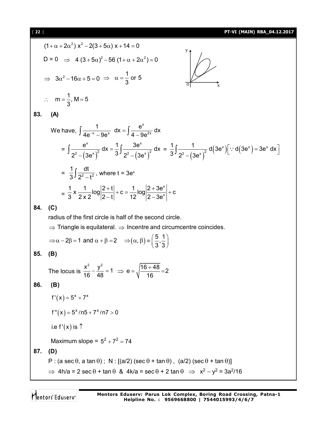(1+α+2α<sup>2</sup>) x<sup>2</sup> - 2(3+5α) x + 14 = 0  
\nD = 0 ⇒ 4 (3+5α)<sup>2</sup> - 56 (1+α+2α<sup>2</sup>) = 0  
\n⇒ 3α<sup>2</sup> - 16α + 5 = 0 ⇒ α = 
$$
\frac{1}{3}
$$
 or 5  
\n∴ m =  $\frac{1}{3}$ . M = 5  
\n83. (A)  
\nWe have,  $\int \frac{1}{4e^{-x} - 9e^{x}} dx = \int \frac{e^{x}}{4-9e^{2x}} dx$   
\n $= \int \frac{e^{x}}{2^{2} - (3e^{x})^{2}} dx = \frac{1}{3} \int \frac{3e^{x}}{2^{2} - (3e^{x})^{2}} dx = \frac{1}{3} \int \frac{1}{2^{2} - (3e^{x})^{2}} d(3e^{x}) [∴ d(3e^{x}) = 3e^{x} dx]$   
\n $= \frac{1}{3} \int \frac{dt}{2^{2} - t^{2}}$ , where t = 3e<sup>x</sup>  
\n $= \frac{1}{3} \times \frac{1}{2x2} log \left| \frac{2+t}{2-t} \right| + c = \frac{1}{12} log \left| \frac{2+3e^{x}}{2-3e^{x}} \right| + c$   
\n84. (C)  
\nradius of the first circle is half of the second circle.  
\n⇒ Triangle is equilateral. ⇒ Incentre and circumference coincides.  
\n⇒ α-2β = 1 and α + β = 2 ⇒ (α, β) =  $\left( \frac{5}{3}, \frac{1}{3} \right)$   
\n85. (B)  
\nThe locus is  $\frac{x^{2}}{16} - \frac{y^{2}}{48} = 1$  ⇒ e =  $\sqrt{\frac{16+48}{16}} = 2$   
\n86. (B)  
\nf'(x) = 5<sup>x</sup> + 7<sup>x</sup>

 $f''(x) = 5^x \ln 5 + 7^x \ln 7 > 0$ 

i.e 
$$
f'(x)
$$
 is  $\uparrow$ 

Maximum slope =  $5^2 + 7^2 = 74$ 

**87. (D)**

$$
P : (a \sec \theta, a \tan \theta); N : [(a/2) (\sec \theta + \tan \theta), (a/2) (\sec \theta + \tan \theta)]
$$

 $\Rightarrow$  4h/a = 2 sec  $\theta$  + tan  $\theta$  & 4k/a = sec  $\theta$  + 2 tan  $\theta$   $\Rightarrow$  x<sup>2</sup> - y<sup>2</sup> = 3a<sup>2</sup>/16